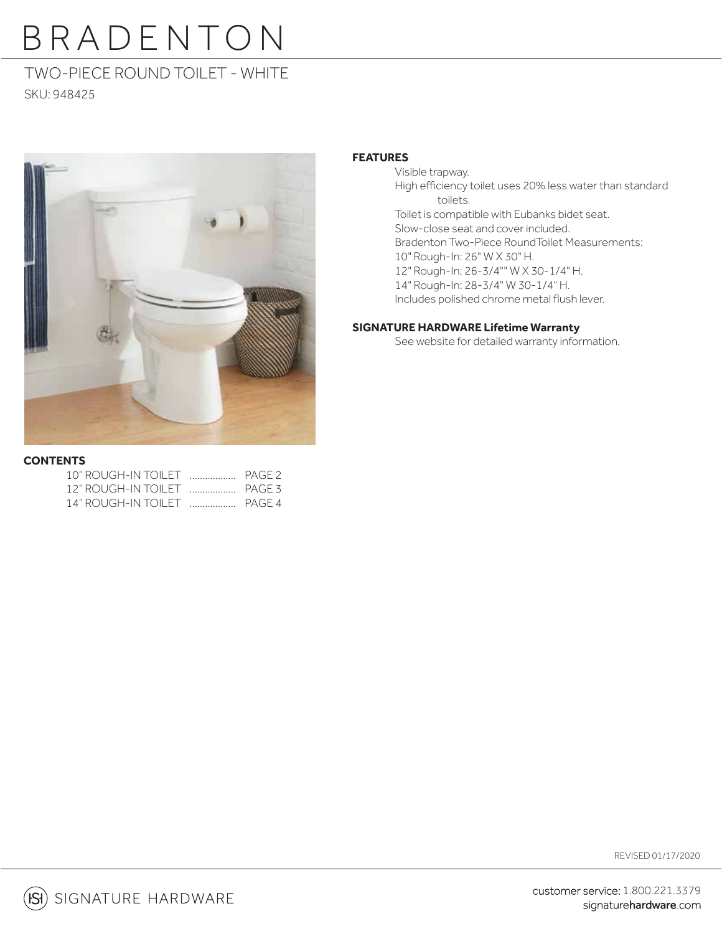# TWO-PIECE ROUND TOILET - WHITE

SKU: 948425



## **FEATURES**

 Visible trapway. High efficiency toilet uses 20% less water than standard toilets. Toilet is compatible with Eubanks bidet seat. Slow-close seat and cover included. Bradenton Two-Piece RoundToilet Measurements: 10" Rough-In: 26" W X 30" H. 12" Rough-In: 26-3/4"" W X 30-1/4" H. 14" Rough-In: 28-3/4" W 30-1/4" H. Includes polished chrome metal flush lever.

### **SIGNATURE HARDWARE Lifetime Warranty**

See website for detailed warranty information.

### **CONTENTS**

| 12" ROUGH-IN TOILET  PAGE 3    |  |
|--------------------------------|--|
| 14" ROUGH-IN TOILET THE PAGE 4 |  |

REVISED 01/17/2020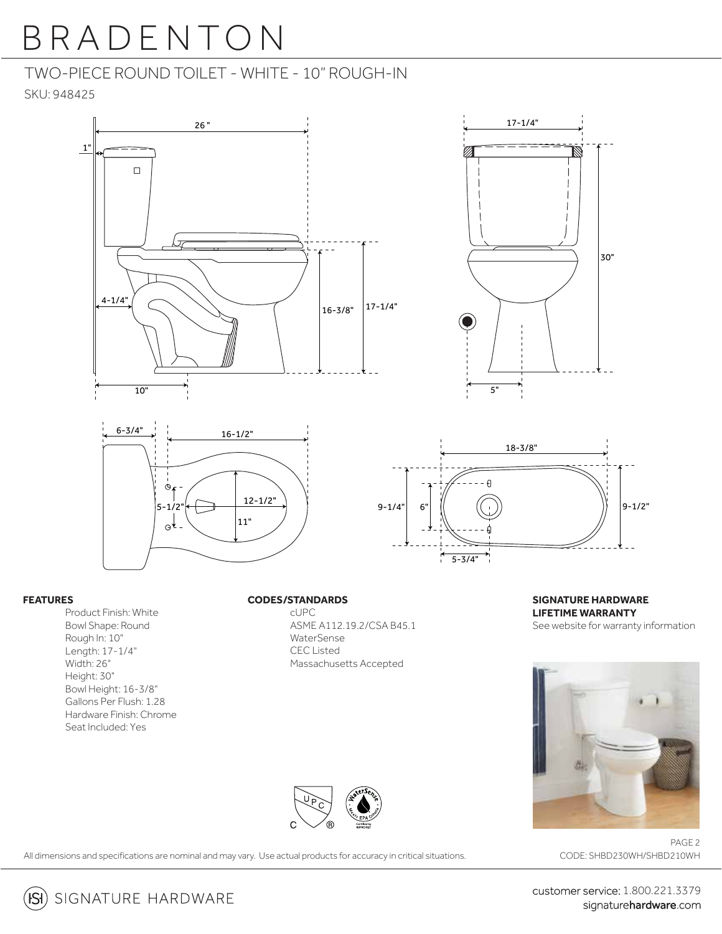# TWO-PIECE ROUND TOILET - WHITE - 10" ROUGH-IN

SKU: 948425









### **FEATURES**

Product Finish: White Bowl Shape: Round Rough In: 10" Length: 17-1/4" Width: 26" Height: 30" Bowl Height: 16-3/8" Gallons Per Flush: 1.28 Hardware Finish: Chrome Seat Included: Yes

### **CODES/STANDARDS**

 cUPC ASME A112.19.2/CSA B45.1 WaterSense CEC Listed Massachusetts Accepted

**SIGNATURE HARDWARE LIFETIME WARRANTY** See website for warranty information





All dimensions and specifications are nominal and may vary. Use actual products for accuracy in critical situations.

PAGE 2 CODE: SHBD230WH/SHBD210WH

customer service: 1.800.221.3379 signaturehardware.com

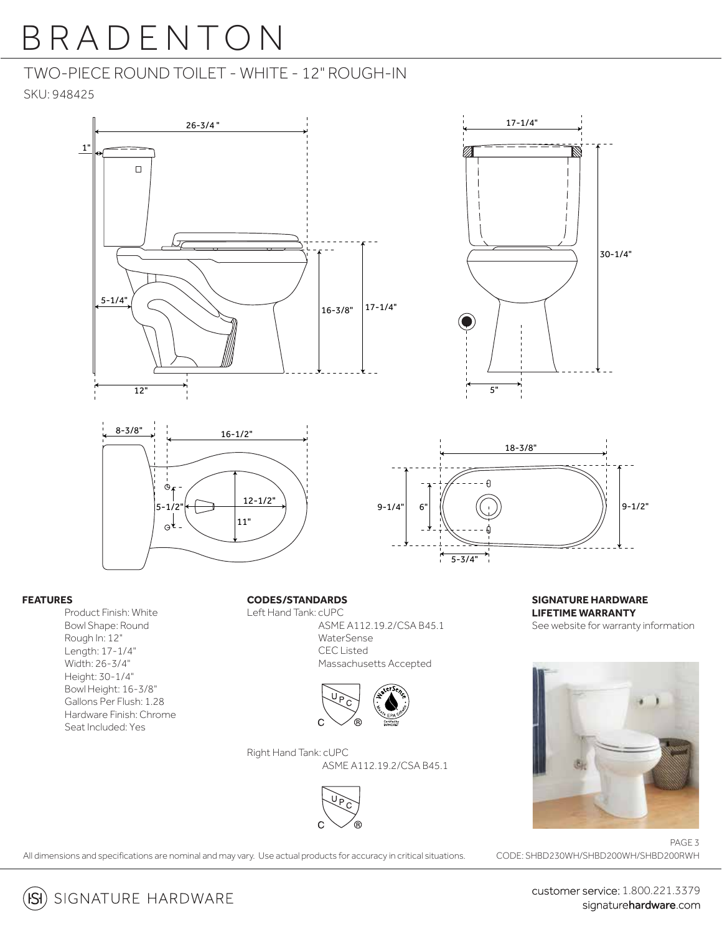## TWO-PIECE ROUND TOILET - WHITE - 12" ROUGH-IN

SKU: 948425







### **FEATURES**

Product Finish: White Bowl Shape: Round Rough In: 12" Length: 17-1/4" Width: 26-3/4" Height: 30-1/4" Bowl Height: 16-3/8" Gallons Per Flush: 1.28 Hardware Finish: Chrome Seat Included: Yes

### **CODES/STANDARDS**

Left Hand Tank: cUPC ASME A112.19.2/CSA B45.1 WaterSense CEC Listed Massachusetts Accepted



Right Hand Tank: cUPC ASME A112.19.2/CSA B45.1



**SIGNATURE HARDWARE LIFETIME WARRANTY** See website for warranty information

30-1/4"



All dimensions and specifications are nominal and may vary. Use actual products for accuracy in critical situations.

PAGE 3 CODE: SHBD230WH/SHBD200WH/SHBD200RWH